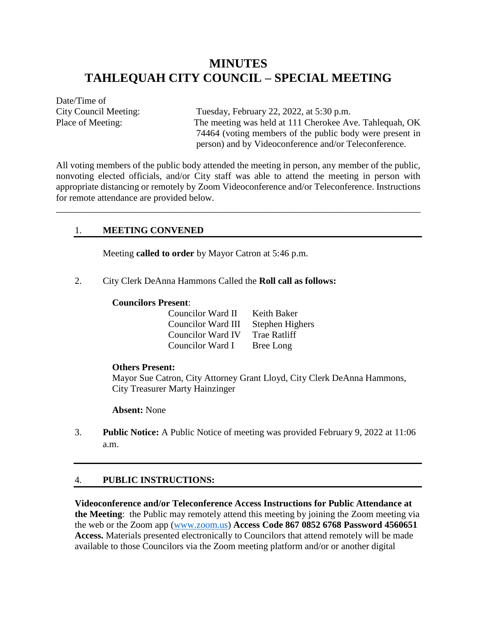# **MINUTES TAHLEQUAH CITY COUNCIL – SPECIAL MEETING**

Date/Time of

City Council Meeting: Tuesday, February 22, 2022, at 5:30 p.m. Place of Meeting: The meeting was held at 111 Cherokee Ave. Tahlequah, OK 74464 (voting members of the public body were present in person) and by Videoconference and/or Teleconference.

All voting members of the public body attended the meeting in person, any member of the public, nonvoting elected officials, and/or City staff was able to attend the meeting in person with appropriate distancing or remotely by Zoom Videoconference and/or Teleconference. Instructions for remote attendance are provided below.

\_\_\_\_\_\_\_\_\_\_\_\_\_\_\_\_\_\_\_\_\_\_\_\_\_\_\_\_\_\_\_\_\_\_\_\_\_\_\_\_\_\_\_\_\_\_\_\_\_\_\_\_\_\_\_\_\_\_\_\_\_\_\_\_\_\_\_\_\_\_\_\_\_\_\_\_\_\_

## 1. **MEETING CONVENED**

Meeting **called to order** by Mayor Catron at 5:46 p.m.

2. City Clerk DeAnna Hammons Called the **Roll call as follows:** 

#### **Councilors Present**:

| Councilor Ward II  | Keith Baker      |
|--------------------|------------------|
| Councilor Ward III | Stephen Highers  |
| Councilor Ward IV  | Trae Ratliff     |
| Councilor Ward I   | <b>Bree Long</b> |

#### **Others Present:**

Mayor Sue Catron, City Attorney Grant Lloyd, City Clerk DeAnna Hammons, City Treasurer Marty Hainzinger

**Absent:** None

3. **Public Notice:** A Public Notice of meeting was provided February 9, 2022 at 11:06 a.m.

### 4. **PUBLIC INSTRUCTIONS:**

**Videoconference and/or Teleconference Access Instructions for Public Attendance at the Meeting**: the Public may remotely attend this meeting by joining the Zoom meeting via the web or the Zoom app [\(www.zoom.us\)](http://www.zoom.us/) **Access Code 867 0852 6768 Password 4560651 Access.** Materials presented electronically to Councilors that attend remotely will be made available to those Councilors via the Zoom meeting platform and/or or another digital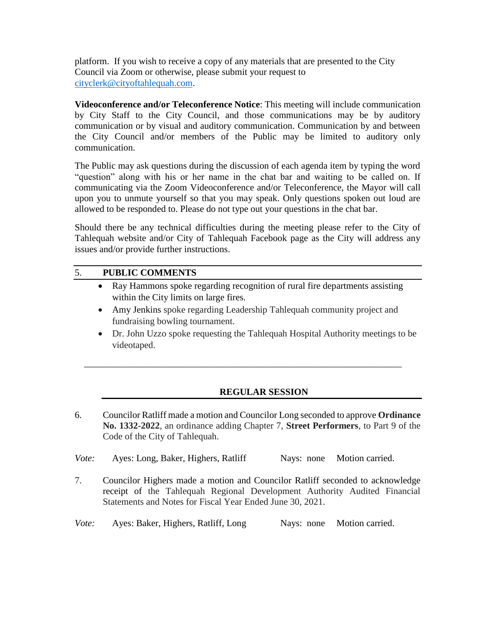platform. If you wish to receive a copy of any materials that are presented to the City Council via Zoom or otherwise, please submit your request to [cityclerk@cityoftahlequah.com.](mailto:cityclerk@cityoftahlequah.com)

**Videoconference and/or Teleconference Notice**: This meeting will include communication by City Staff to the City Council, and those communications may be by auditory communication or by visual and auditory communication. Communication by and between the City Council and/or members of the Public may be limited to auditory only communication.

The Public may ask questions during the discussion of each agenda item by typing the word "question" along with his or her name in the chat bar and waiting to be called on. If communicating via the Zoom Videoconference and/or Teleconference, the Mayor will call upon you to unmute yourself so that you may speak. Only questions spoken out loud are allowed to be responded to. Please do not type out your questions in the chat bar.

Should there be any technical difficulties during the meeting please refer to the City of Tahlequah website and/or City of Tahlequah Facebook page as the City will address any issues and/or provide further instructions.

# 5. **PUBLIC COMMENTS**

- Ray Hammons spoke regarding recognition of rural fire departments assisting within the City limits on large fires.
- Amy Jenkins spoke regarding Leadership Tahlequah community project and fundraising bowling tournament.

\_\_\_\_\_\_\_\_\_\_\_\_\_\_\_\_\_\_\_\_\_\_\_\_\_\_\_\_\_\_\_\_\_\_\_\_\_\_\_\_\_\_\_\_\_\_\_\_\_\_\_\_\_\_\_\_\_\_\_\_\_\_\_\_\_\_\_\_

 Dr. John Uzzo spoke requesting the Tahlequah Hospital Authority meetings to be videotaped.

# **REGULAR SESSION**

- 6. Councilor Ratliff made a motion and Councilor Long seconded to approve **Ordinance No. 1332-2022**, an ordinance adding Chapter 7, **Street Performers**, to Part 9 of the Code of the City of Tahlequah.
- *Vote:* Ayes: Long, Baker, Highers, Ratliff Nays: none Motion carried.
- 7. Councilor Highers made a motion and Councilor Ratliff seconded to acknowledge receipt of the Tahlequah Regional Development Authority Audited Financial Statements and Notes for Fiscal Year Ended June 30, 2021.

*Vote:* Ayes: Baker, Highers, Ratliff, Long Nays: none Motion carried.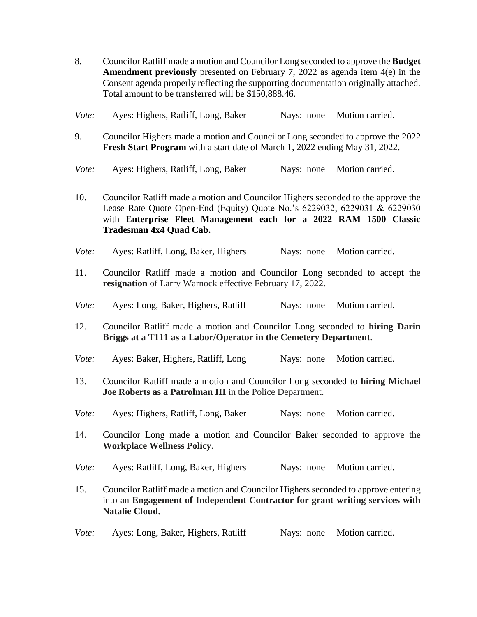8. Councilor Ratliff made a motion and Councilor Long seconded to approve the **Budget Amendment previously** presented on February 7, 2022 as agenda item 4(e) in the Consent agenda properly reflecting the supporting documentation originally attached. Total amount to be transferred will be \$150,888.46.

| Vote: | Ayes: Highers, Ratliff, Long, Baker |  | Nays: none Motion carried. |
|-------|-------------------------------------|--|----------------------------|
|       |                                     |  |                            |

- 9. Councilor Highers made a motion and Councilor Long seconded to approve the 2022 **Fresh Start Program** with a start date of March 1, 2022 ending May 31, 2022.
- *Vote:* Ayes: Highers, Ratliff, Long, Baker Nays: none Motion carried.

10. Councilor Ratliff made a motion and Councilor Highers seconded to the approve the Lease Rate Quote Open-End (Equity) Quote No.'s 6229032, 6229031 & 6229030 with **Enterprise Fleet Management each for a 2022 RAM 1500 Classic Tradesman 4x4 Quad Cab.** 

- *Vote:* Ayes: Ratliff, Long, Baker, Highers Nays: none Motion carried.
- 11. Councilor Ratliff made a motion and Councilor Long seconded to accept the **resignation** of Larry Warnock effective February 17, 2022.
- *Vote:* Ayes: Long, Baker, Highers, Ratliff Nays: none Motion carried.
- 12. Councilor Ratliff made a motion and Councilor Long seconded to **hiring Darin Briggs at a T111 as a Labor/Operator in the Cemetery Department**.
- *Vote:* Ayes: Baker, Highers, Ratliff, Long Nays: none Motion carried.
- 13. Councilor Ratliff made a motion and Councilor Long seconded to **hiring Michael Joe Roberts as a Patrolman III** in the Police Department.
- *Vote:* Ayes: Highers, Ratliff, Long, Baker Nays: none Motion carried.
- 14. Councilor Long made a motion and Councilor Baker seconded to approve the **Workplace Wellness Policy.**
- *Vote:* Ayes: Ratliff, Long, Baker, Highers Nays: none Motion carried.
- 15. Councilor Ratliff made a motion and Councilor Highers seconded to approve entering into an **Engagement of Independent Contractor for grant writing services with Natalie Cloud.**
- *Vote:* Ayes: Long, Baker, Highers, Ratliff Nays: none Motion carried.